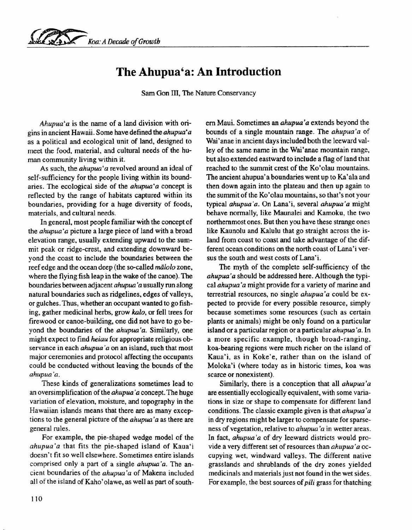## **The Ahupua'a: An Introduction**

Sam Gon III, The Nature Conservancy

*Ahupua'a* is the name of a land division with origins in ancient Hawaii. Some have defined the *ahupua' a* as a political and ecological unit of land, designed to meet the food, material, and cultural needs of the human community living within it.

As such, the *ahupua'a* revolved around an ideal of self-sufficiency for the people living within its boundaries. The ecological side of the *ahupua'a* concept is reflected by the range of habitats captured within its boundaries, providing for a huge diversity of foods, materials, and cultural needs.

In general, most people familiar with the concept of the *ahupua'a* picture a large piece of land with a broad elevation range, usually extending upward to the summit peak or ridge-crest, and extending downward beyond the coast to include the boundaries between the reef edge and the ocean deep (the so-called *miilolo* zone, where the flying fish leap in the wake of the canoe). The boundaries between adjacent *ahupua 'a* usually run along natural boundaries such as ridgelines, edges of valleys, or gulches. Thus, whether an occupant wanted to go fishing, gather medicinal herbs, grow *kalo,* or fell trees for firewood or canoe-building, one did not have to go beyond the boundaries of the *ahupua'a.* Similarly, one might expect to find *heiau* for appropriate religious observance in each *ahupua 'a* on an island, such that most major ceremonies and protocol affecting the occupants could be conducted without leaving the bounds of the *ahupua'a.*

These kinds of generalizations sometimes lead to an oversimplification of the *ahupua 'a* concept. The huge variation of elevation, moisture, and topography in the Hawaiian islands means that there are as many exceptions to the general picture of the *ahupua 'a* as there are general rules.

For example, the pie-shaped wedge model of the *ahupua' a* that fits the pie-shaped island of Kaua'i doesn't fit so well elsewhere. Sometimes entire islands comprised only a part of a single *ahupua 'a.* The ancient boundaries of the *ahupua 'a* of Makena included all of the island of Kaho' olawe, as well as part of southem Maui. Sometimes an *ahupua'a* extends beyond the bounds of a single mountain range. The *ahupua'a* of Wai'anae in ancient days included both the leeward valley of the same name in the Wai'anae mountain range, but also extended eastward to include a flag of land that reached to the summit crest of the Ko'olau mountains. The ancient ahupua' a boundaries went up to Ka' ala and then down again into the plateau and then up again to the summit of the Ko'olau mountains, so that's not your typical *ahupua'a.* On Lana'I, several *ahupua'a* might behave normally, like Maunalei and Kamoku, the two northernmost ones. But then you have these strange ones like Kaunolu and Kalulu that go straight across the island from coast to coast and take advantage of the different ocean conditions on the north coast of Lana'i versus the south and west costs of Lana'i.

The myth of the complete self-sufficiency of the *ahupua'a* should be addressed here. Although the typical *ahupua 'a* might provide for a variety of marine and terrestrial resources, no single *ahupua' a* could be expected to provide for every possible resource, simply because sometimes some resources (such as certain plants or animals) might be only found on a particular island or a particular region or a particular *ahupua 'a.* In a more specific example, though broad-ranging, koa-bearing regions were much richer on the island of Kaua'i, as in Koke'e, rather than on the island of Moloka'i (where today as in historic times, koa was scarce or nonexistent).

Similarly, there is a conception that all *ahupua 'a* are essentially ecologically equivalent, with some variations in size or shape to compensate for different land conditions. The classic example given is that *ahupua'a* in dry regions might be larger to compensate for sparseness of vegetation, relative to *ahupua 'a* in wetter areas. In fact, *ahupua'a* of dry leeward districts would provide a very different set of resources than *ahupua 'a* occupying wet, windward valleys. The different native grasslands and shrublands of the dry zones yielded medicinals and materials just not found in the wet sides. For example, the best sources of *pili* grass for thatching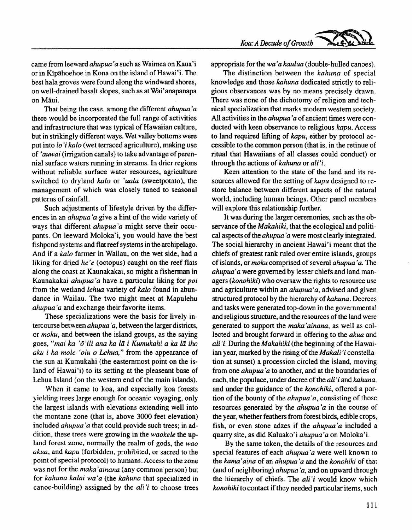came from leeward *ahupua' a* such as Waimea on Kaua' i or in Kipahoehoe in Kona on the island of Hawai' i. The best hala groves were found along the windward shores, on well-drained basalt slopes, such as at Wai' anapanapa on Maui.

That being the case, among the different *ahupua 'a* there would be incorporated the full range of activities and infrastructure that was typical of Hawaiian culture, but in strikingly different ways. Wet valley bottoms were put into *lo'i kalo* (wet terraced agriculture), making use of 'auwai (irrigation canals) to take advantage of perennial surface waters running in streams. In drier regions without reliable surface water resources, agriculture switched to dryland *kalo* or *'uala* (sweetpotato), the management of which was closely tuned to seasonal patterns of rainfall.

Such adjustments of lifestyle driven by the differences in an *ahupua' a* give a hint of the wide variety of ways that different *ahupua'a* might serve their occupants. On leeward Moloka'i, you would have the best fishpond systems and flat reef systems in the archipelago. And if a *kalo* farmer in Wailau, on the wet side, had a liking for dried he'e (octopus) caught on the reef flats along the coast at Kaunakakai, so might a fisherman in Kaunakakai *ahupua' a* have a particular liking for *poi* from the wetland *lehua* variety of *kalo* found in abundance in Wailau. The two might meet at Mapulehu *ahupua 'a* and exchange their favorite items.

These specializations were the basis for lively intercourse between *ahupua' a,* between the larger districts, or *moku,* and between the island groups, as the saying goes, *"mai ka 'o'ili ana ka ta i Kumukahi a ka la iho aku i ka mole 'olu* 0 *Lehua,"* from the appearance of the sun at Kumukahi (the easternmost point on the island of Hawai'i) to its setting at the pleaseant base of Lehua Island (on the western end of the main islands).

When it came to koa, and especially koa forests yielding trees large enough for oceanic voyaging, only the largest islands with elevations extending well into the montane zone (that is, above 3000 feet elevation) included *ahupua 'a* that could provide such trees; in addition, these trees were growing in the *waokele* the upland forest zone. normally the realm of gods. the *wao akua,* and *kapu* (forbidden, prohibited. or sacred to the point of special protocol) to humans. Access to the zone was not for the *maka'ainana* (any common person) but for *kahuna kalai wa'a* (the *kahuna* that specialized in canoe-building) assigned by the *ali'i* to choose trees appropriate for the *wa 'a kaulua* (double-hulled canoes).

The distinction between the *kahuna* of special knowledge and those *kahuna* dedicated strictly to religious observances was by no means precisely drawn. There was none of the dichotomy of religion and technical specialization that marks modem western society. AU activities in the *ahupua' a* of ancient times were conducted with keen observance to religious *kapu.* Access to land required lifting of *kapu,* either by protocol accessible to the common person (that is, in the retinue of ritual that Hawaiians of all classes could conduct) or through the actions of *kahuna* or *ali'i.*

Keen attention to the state of the land and its resources allowed for the setting of *kapu* designed to restore balance between different aspects of the natural world, including human beings. Other panel members will explore this relationship further.

It was during the larger ceremonies, such as the observance of the *Makahiki,* that the ecological and political aspects of the *ahupua 'a* were most clearly integrated. The social hierarchy in ancient Hawai'i meant that the chiefs of greatest rank ruled over entire islands, groups of islands, or *moku* comprised of several *ahupua 'a.* The *ahupua'a* were governed by lesser chiefs and land managers *(konohiki)* who oversaw the rights to resource use and agriculture within an *ahupua'a,* advised and given structured protocol by the hierarchy of *kahuna.* Decrees and tasks were generated top-down in the governmental and religious structure, and the resources of the land were generated to support the *maka'ainana,* as well as collected and brought forward in offering to the *akua* and *ali'i.* During the *Makahiki* (the beginning of the Hawaiian year, marked by the rising of the *Makali'i* constellation at sunset) a procession circled the island, moving from one *ahupua'a* to another, and at the boundaries of each, the populace, under decree of the *ali' i* and *kahuna,* and under the guidance of the *konohiki,* offered a portion of the bounty of the *ahupua 'a,* consisting of those resources generated by the *ahupua'a* in the course of the year, whether feathers from forest birds, edible crops, fish, or even stone adzes if the *ahupua'a* included a quarry site, as did Kaluako'i *ahupua'a* on Moloka'i.

By the same token, the details of the resources and special features of each *ahupua' a* were well known to the *kama' aina* of an *ahupua' a* and the *konohiki* of that (and of neighboring) *ahupua 'a,* and on upward through the hierarchy of chiefs. The *ali'i* would know which *konohiki* to contact if they needed particular items, such